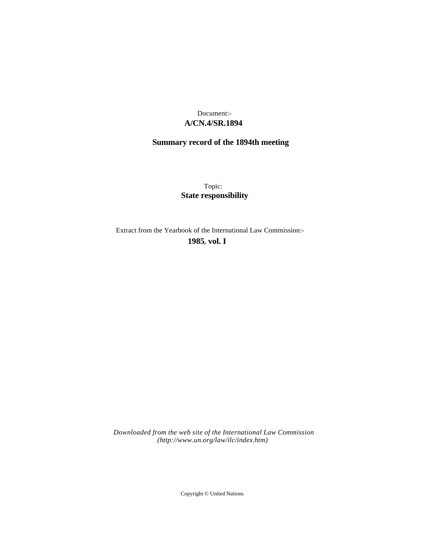## **A/CN.4/SR.1894** Document:-

# **Summary record of the 1894th meeting**

Topic: **State responsibility**

Extract from the Yearbook of the International Law Commission:-

**1985** , **vol. I**

*Downloaded from the web site of the International Law Commission (http://www.un.org/law/ilc/index.htm)*

Copyright © United Nations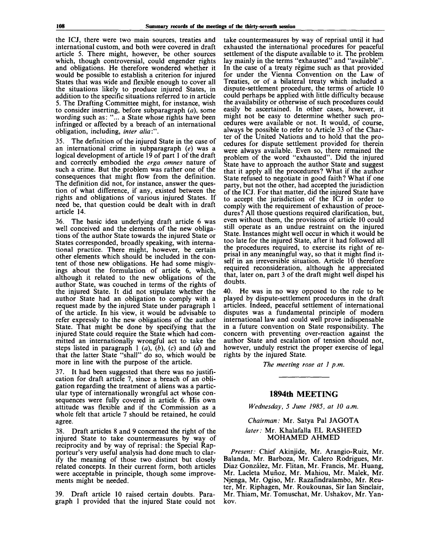the ICJ, there were two main sources, treaties and international custom, and both were covered in draft article 5. There might, however, be other sources which, though controversial, could engender rights and obligations. He therefore wondered whether it would be possible to establish a criterion for injured States that was wide and flexible enough to cover all the situations likely to produce injured States, in addition to the specific situations referred to in article 5. The Drafting Committee might, for instance, wish to consider inserting, before subparagraph *(a),* some wording such as: "... a State whose rights have been infringed or affected by a breach of an international obligation, including, *inter alia:".*

35. The definition of the injured State in the case of an international crime in subparagraph *(e)* was a logical development of article 19 of part 1 of the draft and correctly embodied the *erga omnes* nature of such a crime. But the problem was rather one of the consequences that might flow from the definition. The definition did not, for instance, answer the question of what difference, if any, existed between the rights and obligations of various injured States. If need be, that question could be dealt with in draft article 14.

36. The basic idea underlying draft article 6 was well conceived and the elements of the new obligations of the author State towards the injured State or States corresponded, broadly speaking, with international practice. There might, however, be certain other elements which should be included in the content of those new obligations. He had some misgivings about the formulation of article 6, which, although it related to the new obligations of the author State, was couched in terms of the rights of the injured State. It did not stipulate whether the author State had an obligation to comply with a request made by the injured State under paragraph 1 of the article. In his view, it would be advisable to refer expressly to the new obligations of the author State. That might be done by specifying that the injured State could require the State which had committed an internationally wrongful act to take the steps listed in paragraph 1 *(a), (b),* (c) and *(d)* and that the latter State "shall" do so, which would be more in line with the purpose of the article.

37. It had been suggested that there was no justification for draft article 7, since a breach of an obligation regarding the treatment of aliens was a particular type of internationally wrongful act whose consequences were fully covered in article 6. His own attitude was flexible and if the Commission as a whole felt that article 7 should be retained, he could agree.

38. Draft articles 8 and 9 concerned the right of the injured State to take countermeasures by way of reciprocity and by way of reprisal: the Special Rapporteur's very useful analysis had done much to clarify the meaning of those two distinct but closely related concepts. In their current form, both articles were acceptable in principle, though some improvements might be needed.

39. Draft article 10 raised certain doubts. Paragraph 1 provided that the injured State could not take countermeasures by way of reprisal until it had exhausted the international procedures for peaceful settlement of the dispute available to it. The problem lay mainly in the terms "exhausted" and "available". In the case of a treaty regime such as that provided for under the Vienna Convention on the Law of Treaties, or of a bilateral treaty which included a dispute-settlement procedure, the terms of article 10 could perhaps be applied with little difficulty because the availability or otherwise of such procedures could easily be ascertained. In other cases, however, it might not be easy to determine whether such procedures were available or not. It would, of course, always be possible to refer to Article 33 of the Charter of the United Nations and to hold that the procedures for dispute settlement provided for therein were always available. Even so, there remained the problem of the word "exhausted". Did the injured State have to approach the author State and suggest that it apply all the procedures? What if the author State refused to negotiate in good faith? What if one party, but not the other, had accepted the jurisdiction of the ICJ. For that matter, did the injured State have to accept the jurisdiction of the ICJ in order to comply with the requirement of exhaustion of procedures? All those questions required clarification, but, even without them, the provisions of article 10 could still operate as an undue restraint on the injured State. Instances might well occur in which it would be too late for the injured State, after it had followed all the procedures required, to exercise its right of reprisal in any meaningful way, so that it might find itself in an irreversible situation. Article 10 therefore required reconsideration, although he appreciated that, later on, part 3 of the draft might well dispel his doubts.

40. He was in no way opposed to the role to be played by dispute-settlement procedures in the draft articles. Indeed, peaceful settlement of international disputes was a fundamental principle of modern international law and could well prove indispensable in a future convention on State responsibility. The concern with preventing over-reaction against the author State and escalation of tension should not, however, unduly restrict the proper exercise of legal rights by the injured State.

*The meeting rose at 1 p.m.*

## **1894th MEETING**

*Wednesday, 5 June 1985, at 10 a.m.*

## *Chairman:* Mr. Satya Pal JAGOTA *later:* Mr. Khalafalla EL RASHEED MOHAMED AHMED

*Present:* Chief Akinjide, Mr. Arangio-Ruiz, Mr. Balanda, Mr. Barboza, Mr. Calero Rodrigues, Mr. Diaz Gonzalez, Mr. Flitan, Mr. Francis, Mr. Huang, Mr. Lacleta Mufioz, Mr. Mahiou, Mr. Malek, Mr. Njenga, Mr. Ogiso, Mr. Razafindralambo, Mr. Reuter, Mr. Riphagen, Mr. Roukounas, Sir Ian Sinclair, Mr. Thiam, Mr. Tomuschat, Mr. Ushakov, Mr. Yankov.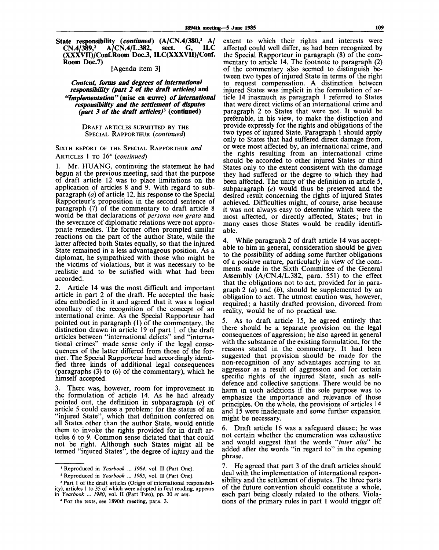**State responsibility** *(continued)* **(A/CN.4/380,<sup>1</sup> A/ CN.4/389,<sup>2</sup> A/CN.4/L.382, sect. G, ILC (XXXVII)/Conf.Room Doc.3, ILC(XXXVII)/Conf. Room Doc.7)**

[Agenda item 3]

*Content, forms and degrees of international responsibility (part 2 of the draft articles)* **and** *"Implementation" (mise* **en ceuvre)** *of international responsibility and the settlement of disputes (part 3 of the draft articles)<sup>3</sup>*  **(continued)**

#### DRAFT ARTICLES SUBMITTED BY THE SPECIAL RAPPORTEUR *(continued)*

## SIXTH REPORT OF THE SPECIAL RAPPORTEUR *and* ARTICLES 1 TO 16<sup>4</sup>  *(continued)*

1. Mr. HUANG, continuing the statement he had begun at the previous meeting, said that the purpose of draft article 12 was to place limitations on the application of articles 8 and 9. With regard to subparagraph *(a)* of article 12, his response to the Special Rapporteur's proposition in the second sentence of paragraph (7) of the commentary to draft article 8 would be that declarations of *persona non grata* and the severance of diplomatic relations were not appropriate remedies. The former often prompted similar reactions on the part of the author State, while the latter affected both States equally, so that the injured State remained in a less advantageous position. As a diplomat, he sympathized with those who might be the victims of violations, but it was necessary to be realistic and to be satisfied with what had been accorded.

2. Article 14 was the most difficult and important article in part 2 of the draft. He accepted the basic idea embodied in it and agreed that it was a logical corollary of the recognition of the concept of an international crime. As the Special Rapporteur had pointed out in paragraph (1) of the commentary, the distinction drawn in article 19 of part 1 of the draft articles between "international delicts" and "international crimes" made sense only if the legal consequences of the latter differed from those of the former. The Special Rapporteur had accordingly identified three kinds of additional legal consequences (paragraphs (3) to (6) of the commentary), which he himself accepted.

There was, however, room for improvement in the formulation of article 14. As he had already pointed out, the definition in subparagraph *(e)* of article 5 could cause a problem: for the status of an "injured State", which that definition conferred on all States other than the author State, would entitle them to invoke the rights provided for in draft articles 6 to 9. Common sense dictated that that could not be right. Although such States might all be termed "injured States", the degree of injury and the

extent to which their rights and interests were affected could well differ, as had been recognized by the Special Rapporteur in paragraph (8) of the commentary to article 14. The footnote to paragraph (2) of the commentary also seemed to distinguish between two types of injured State in terms of the right to request compensation. A distinction between injured States was implicit in the formulation of article 14 inasmuch as paragraph 1 referred to States that were direct victims of an international crime and paragraph 2 to States that were not. It would be preferable, in his view, to make the distinction and provide expressly for the rights and obligations of the two types of injured State. Paragraph 1 should apply only to States that had suffered direct damage from, or were most affected by, an international crime, and the rights resulting from an international crime should be accorded to other injured States or third States only to the extent consistent with the damage they had suffered or the degree to which they had been affected. The unity of the definition in article 5, subparagraph *(e)* would thus be preserved and the desired result concerning the rights of injured States achieved. Difficulties might, of course, arise because it was not always easy to determine which were the most affected, or directly affected, States; but in many cases those States would be readily identifiable.

4. While paragraph 2 of draft article 14 was acceptable to him in general, consideration should be given to the possibility of adding some further obligations of a positive nature, particularly in view of the comments made in the Sixth Committee of the General Assembly (A/CN.4/L.382, para. 551) to the effect that the obligations not to act, provided for in paragraph 2 *(a)* and *(b),* should be supplemented by an obligation to act. The utmost caution was, however, required; a hastily drafted provision, divorced from reality, would be of no practical use.

As to draft article 15, he agreed entirely that there should be a separate provision on the legal consequences of aggression; he also agreed in general with the substance of the existing formulation, for the reasons stated in the commentary. It had been suggested that provision should be made for the non-recognition of any advantages accruing to an aggressor as a result of aggression and for certain specific rights of the injured State, such as selfdefence and collective sanctions. There would be no harm in such additions if the sole purpose was to emphasize the importance and relevance of those principles. On the whole, the provisions of articles 14 and 15 were inadequate and some further expansion might be necessary.

6. Draft article 16 was a safeguard clause; he was not certain whether the enumeration was exhaustive and would suggest that the words *"inter alia'''* be added after the words "in regard to" in the opening phrase.

7. He agreed that part 3 of the draft articles should deal with the implementation of international responsibility and the settlement of disputes. The three parts of the future convention should constitute a whole, each part being closely related to the others. Violations of the primary rules in part 1 would trigger off

<sup>1</sup> Reproduced in *Yearbook ... 1984,* vol. II (Part One).

*<sup>2</sup>* Reproduced in *Yearbook ... 1985,* vol. II (Part One).

<sup>&</sup>lt;sup>3</sup> Part 1 of the draft articles (Origin of international responsibility), articles 1 to 35 of which were adopted in first reading, appears in *Yearbook* ... *1980,* vol. II (Part Two), pp. 30 *et seq.*

<sup>4</sup> For the texts, see 1890th meeting, para. 3.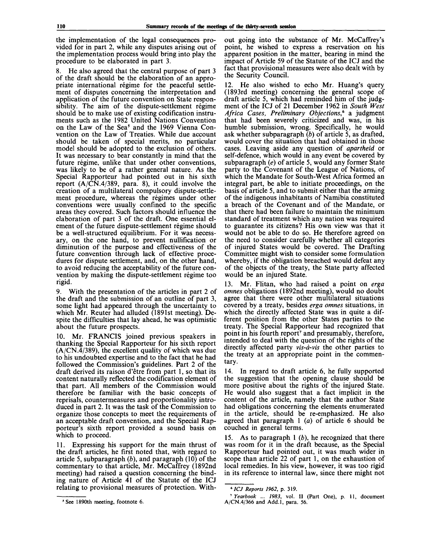the implementation of the legal consequences provided for in part 2, while any disputes arising out of the implementation process would bring into play the procedure to be elaborated in part 3.

8. He also agreed that the central purpose of part 3 of the draft should be the elaboration of an appropriate international régime for the peaceful settlement of disputes concerning the interpretation and application of the future convention on State responsibility. The aim of the dispute-settlement régime should be to make use of existing codification instruments such as the 1982 United Nations Convention on the Law of the Sea<sup>5</sup> and the 1969 Vienna Convention on the Law of Treaties. While due account should be taken of special merits, no particular model should be adopted to the exclusion of others. It was necessary to bear constantly in mind that the future régime, unlike that under other conventions, was likely to be of a rather general nature. As the Special Rapporteur had pointed out in his sixth report (A/CN.4/389, para. 8), it could involve the creation of a multilateral compulsory dispute-settlement procedure, whereas the régimes under other conventions were usually confined to the specific areas they covered. Such factors should influence the elaboration of part 3 of the draft. One essential element of the future dispute-settlement régime should be a well-structured equilibrium. For it was necessary, on the one hand, to prevent nullification or diminution of the purpose and effectiveness of the future convention through lack of effective procedures for dispute settlement, and, on the other hand, to avoid reducing the acceptability of the future convention by making the dispute-settlement régime too rigid.

9. With the presentation of the articles in part 2 of the draft and the submission of an outline of part 3, some light had appeared through the uncertainty to which Mr. Reuter had alluded (1891st meeting). Despite the difficulties that lay ahead, he was optimistic about the future prospects.

10. Mr. FRANCIS joined previous speakers in thanking the Special Rapporteur for his sixth report  $(A/CN.\overline{4}/389)$ , the excellent quality of which was due to his undoubted expertise and to the fact that he had followed the Commission's guidelines. Part 2 of the draft derived its raison d'etre from part 1, so that its content naturally reflected the codification element of that part. All members of the Commission would therefore be familiar with the basic concepts of reprisals, countermeasures and proportionality introduced in part 2. It was the task of the Commission to organize those concepts to meet the requirements of an acceptable draft convention, and the Special Rapporteur's sixth report provided a sound basis on which to proceed.

11. Expressing his support for the main thrust of the draft articles, he first noted that, with regard to article 5, subparagraph *(b),* and paragraph (10) of the commentary to that article, Mr. McCaffrey (1892nd meeting) had raised a question concerning the binding nature of Article 41 of the Statute of the ICJ relating to provisional measures of protection. With-

out going into the substance of Mr. McCaffrey's point, he wished to express a reservation on his apparent position in the matter, bearing in mind the impact of Article 59 of the Statute of the ICJ and the fact that provisional measures were also dealt with by the Security Council.

12. He also wished to echo Mr. Huang's query (1893rd meeting) concerning the general scope of draft article 5, which had reminded him of the judgment of the ICJ of 21 December 1962 in *South West Africa Cases, Preliminary Objections,<sup>6</sup>* a judgment that had been severely criticized and was, in his humble submission, wrong. Specifically, he would ask whether subparagraph *(b)* of article 5, as drafted, would cover the situation that had obtained in those cases. Leaving aside any question of *apartheid* or self-defence, which would in any event be covered by subparagraph *(e)* of article 5, would any former State party to the Covenant of the League of Nations, of which the Mandate for South-West Africa formed an integral part, be able to initiate proceedings, on the basis of article 5, and to submit either that the arming of the indigenous inhabitants of Namibia constituted a breach of the Covenant and of the Mandate, or that there had been failure to maintain the minimum standard of treatment which any nation was required to guarantee its citizens? His own view was that it would not be able to do so. He therefore agreed on the need to consider carefully whether all categories of injured States would be covered. The Drafting Committee might wish to consider some formulation whereby, if the obligation breached would defeat any of the objects of the treaty, the State party affected would be an injured State.

13. Mr. Flitan, who had raised a point on *erga omnes* obligations (1892nd meeting), would no doubt agree that there were other multilateral situations covered by a treaty, besides *erga omnes* situations, in which the directly affected State was in quite a different position from the other States parties to the treaty. The Special Rapporteur had recognized that point in his fourth report<sup>7</sup> and presumably, therefore, intended to deal with the question of the rights of the directly affected party *vis-a-vis* the other parties to the treaty at an appropriate point in the commentary.

14. In regard to draft article 6, he fully supported the suggestion that the opening clause should be more positive about the rights of the injured State. He would also suggest that a fact implicit in the content of the article, namely that the author State had obligations concerning the elements enumerated in the article, should be re-emphasized. He also agreed that paragraph 1 *(a)* of article 6 should be couched in general terms.

15. As to paragraph 1 *(b),* he recognized that there was room for it in the draft because, as the Special Rapporteur had pointed out, it was much wider in scope than article 22 of part 1, on the exhaustion of local remedies. In his view, however, it was too rigid in its reference to internal law, since there might not

<sup>5</sup> See 1890th meeting, footnote 6.

*<sup>6</sup> ICJ Reports 1962,* p. 319.

<sup>7</sup>  *Yearbook ... 1983,* vol. II (Part One), p. 11, document A/CN.4/366 and Add.l, para. 56.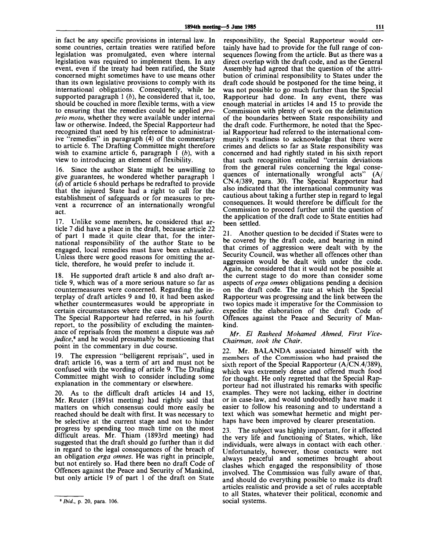in fact be any specific provisions in internal law. In some countries, certain treaties were ratified before legislation was promulgated, even where internal legislation was required to implement them. In any event, even if the treaty had been ratified, the State concerned might sometimes have to use means other than its own legislative provisions to comply with its international obligations. Consequently, while he supported paragraph 1 *(b),* he considered that it, too, should be couched in more flexible terms, with a view to ensuring that the remedies could be applied *proprio motu,* whether they were available under internal law or otherwise. Indeed, the Special Rapporteur had recognized that need by his reference to administrative "remedies" in paragraph (4) of the commentary to article 6. The Drafting Committee might therefore wish to examine article 6, paragraph  $\tilde{I}$  (b), with a view to introducing an element of flexibility.

16. Since the author State might be unwilling to give guarantees, he wondered whether paragraph 1 *(d)* of article 6 should perhaps be redrafted to provide that the injured State had a right to call for the establishment of safeguards or for measures to prevent a recurrence of an internationally wrongful act.

17. Unlike some members, he considered that article 7 did have a place in the draft, because article 22 of part 1 made it quite clear that, for the international responsibility of the author State to be engaged, local remedies must have been exhausted. Unless there were good reasons for omitting the article, therefore, he would prefer to include it.

18. He supported draft article 8 and also draft article 9, which was of a more serious nature so far as countermeasures were concerned. Regarding the interplay of draft articles 9 and 10, it had been asked whether countermeasures would be appropriate in certain circumstances where the case was *sub judice.* The Special Rapporteur had referred, in his fourth report, to the possibility of excluding the maintenance of reprisals from the moment a dispute was *sub judice*,<sup>8</sup> and he would presumably be mentioning that point in the commentary in due course.

19. The expression "belligerent reprisals", used in draft article 16, was a term of art and must not be confused with the wording of article 9. The Drafting Committee might wish to consider including some explanation in the commentary or elsewhere.

20. As to the difficult draft articles 14 and 15, Mr. Reuter (1891st meeting) had rightly said that matters on which consensus could more easily be reached should be dealt with first. It was necessary to be selective at the current stage and not to hinder progress by spending too much time on the most difficult areas. Mr. Thiam (1893rd meeting) had suggested that the draft should go further than it did in regard to the legal consequences of the breach of an obligation *erga omnes.* He was right in principle, but not entirely so. Had there been no draft Code of Offences against the Peace and Security of Mankind, but only article 19 of part 1 of the draft on State

responsibility, the Special Rapporteur would certainly have had to provide for the full range of consequences flowing from the article. But as there was a direct overlap with the draft code, and as the General Assembly had agreed that the question of the attribution of criminal responsibility to States under the draft code should be postponed for the time being, it was not possible to go much further than the Special Rapporteur had done. In any event, there was enough material in articles 14 and 15 to provide the Commission with plenty of work on the delimitation of the boundaries between State responsibility and the draft code. Furthermore, he noted that the Special Rapporteur had referred to the international community's readiness to acknowledge that there were crimes and delicts so far as State responsibility was concerned and had rightly stated in his sixth report that such recognition entailed "certain deviations from the general rules concerning the legal consequences of internationally wrongful acts" (A/ CN.4/389, para. 30). The Special Rapporteur had also indicated that the international community was cautious about taking a further step in regard to legal consequences. It would therefore be difficult for the Commission to proceed further until the question of the application of the draft code to State entities had been settled.

21. Another question to be decided if States were to be covered by the draft code, and bearing in mind that crimes of aggression were dealt with by the Security Council, was whether all offences other than aggression would be dealt with under the code. Again, he considered that it would not be possible at the current stage to do more than consider some aspects of *erga omnes* obligations pending a decision on the draft code. The rate at which the Special Rapporteur was progressing and the link between the two topics made it imperative for the Commission to expedite the elaboration of the draft Code of Offences against the Peace and Security of Mankind.

*Mr. El Rasheed Mohamed Ahmed, First Vice-Chair man, took the Chair.*

22. Mr. BALANDA associated himself with the members of the Commission who had praised the sixth report of the Special Rapporteur (A/CN.4/389), which was extremely dense and offered much food for thought. He only regretted that the Special Rapporteur had not illustrated his remarks with specific examples. They were not lacking, either in doctrine or in case-law, and would undoubtedly have made it easier to follow his reasoning and to understand a text which was somewhat hermetic and might perhaps have been improved by clearer presentation.

23. The subject was highly important, for it affected the very life and functioning of States, which, like individuals, were always in contact with each other. Unfortunately, however, those contacts were not always peaceful and sometimes brought about clashes which engaged the responsibility of those involved. The Commission was fully aware of that, and should do everything possible to make its draft articles realistic and provide a set of rules acceptable to all States, whatever their political, economic and social systems.

*Ibid.,* **p. 20, para. 106.**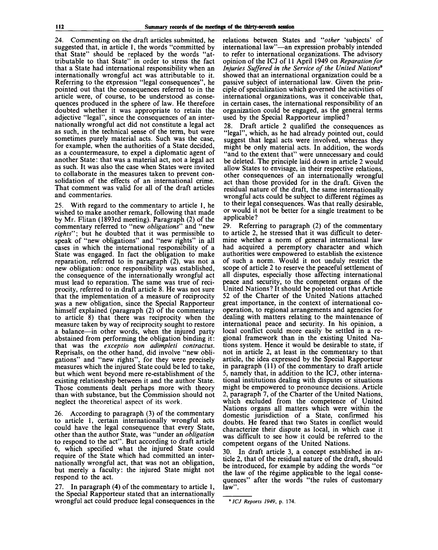24. Commenting on the draft articles submitted, he suggested that, in article 1, the words "committed by that State" should be replaced by the words "attributable to that State" in order to stress the fact that a State had international responsibility when an internationally wrongful act was attributable to it. Referring to the expression "legal consequences", he pointed out that the consequences referred to in the article were, of course, to be understood as consequences produced in the sphere of law. He therefore doubted whether it was appropriate to retain the adjective "legal", since the consequences of an internationally wrongful act did not constitute a legal act as such, in the technical sense of the term, but were sometimes purely material acts. Such was the case, for example, when the authorities of a State decided, as a countermeasure, to expel a diplomatic agent of another State: that was a material act, not a legal act as such. It was also the case when States were invited to collaborate in the measures taken to prevent consolidation of the effects of an international crime. That comment was valid for all of the draft articles and commentaries.

25. With regard to the commentary to article 1, he wished to make another remark, following that made by Mr. Flitan (1893rd meeting). Paragraph (2) of the commentary referred to "new *obligations'"* and "new *rights";* but he doubted that it was permissible to speak of "new obligations" and "new rights" in all cases in which the international responsibility of a State was engaged. In fact the obligation to make reparation, referred to in paragraph (2), was not a new obligation: once responsibility was established, the consequence of the internationally wrongful act must lead to reparation. The same was true of reciprocity, referred to in draft article 8. He was not sure that the implementation of a measure of reciprocity was a new obligation, since the Special Rapporteur himself explained (paragraph (2) of the commentary to article 8) that there was reciprocity when the measure taken by way of reciprocity sought to restore a balance—in other words, when the injured party abstained from performing the obligation binding it: that was the *exceptio non adimpleti contractus.* Reprisals, on the other hand, did involve "new obligations" and "new rights", for they were precisely measures which the injured State could be led to take, but which went beyond mere re-establishment of the existing relationship between it and the author State. Those comments dealt perhaps more with theory than with substance, but the Commission should not neglect the theoretical aspect of its work.

26. According to paragraph (3) of the commentary to article 1, certain internationally wrongful acts could have the legal consequence that every State, other than the author State, was "under an *obligation* to respond to the act". But according to draft article 6, which specified what the injured State could require of the State which had committed an internationally wrongful act, that was not an obligation, but merely a faculty: the injured State might not respond to the act.

27. In paragraph (4) of the commentary to article 1, the Special Rapporteur stated that an internationally wrongful act could produce legal consequences in the

relations between States and "other 'subjects' of international law"—an expression probably intended to refer to international organizations. The advisory opinion of the ICJ of 11 April 1949 on *Reparation for Injuries Suffered in the Service of the United Nations<sup>9</sup>* showed that an international organization could be a passive subject of international law. Given the principle of specialization which governed the activities of international organizations, was it conceivable that, in certain cases, the international responsibility of an organization could be engaged, as the general terms used by the Special Rapporteur implied?

28. Draft article 2 qualified the consequences as "legal", which, as he had already pointed out, could suggest that legal acts were involved, whereas they might be only material acts. In addition, the words "and to the extent that" were unnecessary and could be deleted. The principle laid down in article 2 would allow States to envisage, in their respective relations, other consequences of an internationally wrongful act than those provided for in the draft. Given the residual nature of the draft, the same internationally wrongful acts could be subject to different régimes as to their legal consequences. Was that really desirable, or would it not be better for a single treatment to be applicable?

29. Referring to paragraph (2) of the commentary to article 2, he stressed that it was difficult to determine whether a norm of general international law had acquired a peremptory character and which authorities were empowered to establish the existence of such a norm. Would it not unduly restrict the scope of article 2 to reserve the peaceful settlement of all disputes, especially those affecting international peace and security, to the competent organs of the United Nations? It should be pointed out that Article 52 of the Charter of the United Nations attached great importance, in the context of international cooperation, to regional arrangements and agencies for dealing with matters relating to the maintenance of international peace and security. In his opinion, a local conflict could more easily be settled in a regional framework than in the existing United Nations system. Hence it would be desirable to state, if not in article 2, at least in the commentary to that article, the idea expressed by the Special Rapporteur in paragraph (11) of the commentary to draft article 5, namely that, in addition to the ICJ, other international institutions dealing with disputes or situations might be empowered to pronounce decisions. Article 2, paragraph 7, of the Charter of the United Nations, which excluded from the competence of United Nations organs all matters which were within the domestic jurisdiction of a State, confirmed his doubts. He feared that two States in conflict would characterize their dispute as local, in which case it was difficult to see how it could be referred to the competent organs of the United Nations.

30. In draft article 3, a concept established in article 2, that of the residual nature of the draft, should be introduced, for example by adding the words "or the law of the regime applicable to the legal consequences" after the words "the rules of customary law".

*ICJ Reports 1949,* **p. 174.**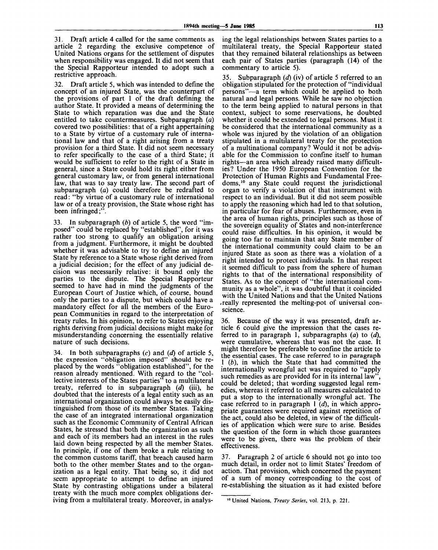31. Draft article 4 called for the same comments as article 2 regarding the exclusive competence of United Nations organs for the settlement of disputes when responsibility was engaged. It did not seem that the Special Rapporteur intended to adopt such a restrictive approach.

32. Draft article 5, which was intended to define the concept of an injured State, was the counterpart of the provisions of part 1 of the draft defining the author State. It provided a means of determining the State to which reparation was due and the State entitled to take countermeasures. Subparagraph *(a)* covered two possibilities: that of a right appertaining to a State by virtue of a customary rule of international law and that of a right arising from a treaty provision for a third State. It did not seem necessary to refer specifically to the case of a third State; it would be sufficient to refer to the right of a State in general, since a State could hold its right either from general customary law, or from general international law, that was to say treaty law. The second part of subparagraph *(a)* could therefore be redrafted to read: "by virtue of a customary rule of international law or of a treaty provision, the State whose right has been infringed;".

33. In subparagraph *(b)* of article 5, the word "imposed" could be replaced by "established", for it was rather too strong to qualify an obligation arising from a judgment. Furthermore, it might be doubted whether it was advisable to try to define an injured State by reference to a State whose right derived from a judicial decision; for the effect of any judicial decision was necessarily relative: it bound only the parties to the dispute. The Special Rapporteur seemed to have had in mind the judgments of the European Court of Justice which, of course, bound only the parties to a dispute, but which could have a mandatory effect for all the members of the European Communities in regard to the interpretation of treaty rules. In his opinion, to refer to States enjoying rights deriving from judicial decisions might make for misunderstanding concerning the essentially relative nature of such decisions.

34. In both subparagraphs *(c)* and *(d)* of article 5, the expression "obligation imposed" should be replaced by the words "obligation established", for the reason already mentioned. With regard to the "collective interests of the States parties" to a multilateral treaty, referred to in subparagraph *(d)* (iii), he doubted that the interests of a legal entity such as an international organization could always be easily distinguished from those of its member States. Taking the case of an integrated international organization such as the Economic Community of Central African States, he stressed that both the organization as such and each of its members had an interest in the rules laid down being respected by all the member States. In principle, if one of them broke a rule relating to the common customs tariff, that breach caused harm both to the other member States and to the organization as a legal entity. That being so, it did not seem appropriate to attempt to define an injured State by contrasting obligations under a bilateral treaty with the much more complex obligations deriving from a multilateral treaty. Moreover, in analysing the legal relationships between States parties to a multilateral treaty, the Special Rapporteur stated that they remained bilateral relationships as between each pair of States parties (paragraph (14) of the commentary to article 5).

35. Subparagraph *(d)* (iv) of article 5 referred to an obligation stipulated for the protection of "individual persons"—a term which could be applied to both natural and legal persons. While he saw no objection to the term being applied to natural persons in that context, subject to some reservations, he doubted whether it could be extended to legal persons. Must it be considered that the international community as a whole was injured by the violation of an obligation stipulated in a multilateral treaty for the protection of a multinational company? Would it not be advisable for the Commission to confine itself to human rights—an area which already raised many difficulties? Under the 1950 European Convention for the Protection of Human Rights and Fundamental Freedoms,<sup>10</sup> any State could request the jurisdictional organ to verify a violation of that instrument with respect to an individual. But it did not seem possible to apply the reasoning which had led to that solution, in particular for fear of abuses. Furthermore, even in the area of human rights, principles such as those of the sovereign equality of States and non-interference could raise difficulties. In his opinion, it would be going too far to maintain that any State member of the international community could claim to be an injured State as soon as there was a violation of a right intended to protect individuals. In that respect it seemed difficult to pass from the sphere of human rights to that of the international responsibility of States. As to the concept of "the international community as a whole", it was doubtful that it coincided with the United Nations and that the United Nations .really represented the melting-pot of universal conscience.

36. Because of the way it was presented, draft article 6 could give the impression that the cases referred to in paragraph 1, subparagraphs *(a)* to *(d),* were cumulative, whereas that was not the case. It might therefore be preferable to confine the article to the essential cases. The case referred to in paragraph 1 *(b),* in which the State that had committed the internationally wrongful act was required to "apply such remedies as are provided for in its internal law' could be deleted; that wording suggested legal remedies, whereas it referred to all measures calculated to put a stop to the internationally wrongful act. The case referred to in paragraph 1 *(d),* in which appropriate guarantees were required against repetition of the act, could also be deleted, in view of the difficulties of application which were sure to arise. Besides the question of the form in which those guarantees were to be given, there was the problem of their effectiveness.

37. Paragraph 2 of article 6 should not go into too much detail, in order not to limit States' freedom of action. That provision, which concerned the payment of a sum of money corresponding to the cost of re-establishing the situation as it had existed before

<sup>10</sup> United Nations, *Treaty Series,* vol. 213, p. 221.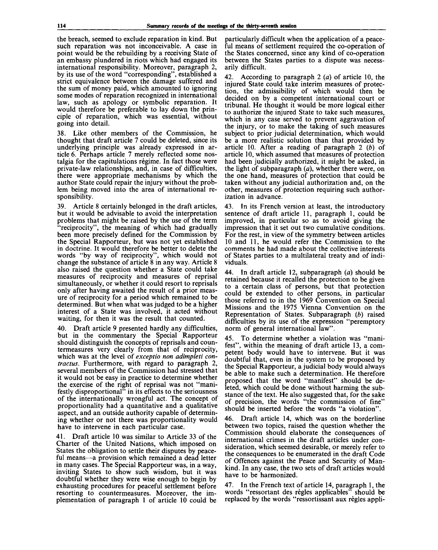the breach, seemed to exclude reparation in kind. But such reparation was not inconceivable. A case in point would be the rebuilding by a receiving State of an embassy plundered in riots which had engaged its international responsibility. Moreover, paragraph 2, by its use of the word "corresponding", established a strict equivalence between the damage suffered and the sum of money paid, which amounted to ignoring some modes of reparation recognized in international law, such as apology or symbolic reparation. It would therefore be preferable to lay down the principle of reparation, which was essential, without going into detail.

38. Like other members of the Commission, he thought that draft article 7 could be deleted, since its underlying principle was already expressed in article 6. Perhaps article 7 merely reflected some nostalgia for the capitulations regime. In fact those were private-law relationships, and, in case of difficulties, there were appropriate mechanisms by which the author State could repair the injury without the problem being moved into the area of international responsibility.

39. Article 8 certainly belonged in the draft articles, but it would be advisable to avoid the interpretation problems that might be raised by the use of the term "reciprocity", the meaning of which had gradually been more precisely defined for the Commission by the Special Rapporteur, but was not yet established in doctrine. It would therefore be better to delete the words "by way of reciprocity", which would not change the substance of article 8 in any way. Article 8 also raised the question whether a State could take measures of reciprocity and measures of reprisal simultaneously, or whether it could resort to reprisals only after having awaited the result of a prior measure of reciprocity for a period which remained to be determined. But when what was judged to be a higher interest of a State was involved, it acted without waiting, for then it was the result that counted.

40. Draft article 9 presented hardly any difficulties, but in the commentary the Special Rapporteur should distinguish the concepts of reprisals and countermeasures very clearly from that of reciprocity, which was at the level of *exceptio non adimpleti contractus.* Furthermore, with regard to paragraph 2, several members of the Commission had stressed that it would not be easy in practice to determine whether the exercise of the right of reprisal was not "manifestly disproportional<sup>7</sup> in its effects to the seriousness of the internationally wrongful act. The concept of proportionality had a quantitative and a qualitative aspect, and an outside authority capable of determining whether or not there was proportionality would have to intervene in each particular case.

41. Draft article 10 was similar to Article 33 of the Charter of the United Nations, which imposed on States the obligation to settle their disputes by peaceful means—a provision which remained a dead letter in many cases. The Special Rapporteur was, in a way, inviting States to show such wisdom, but it was doubtful whether they were wise enough to begin by exhausting procedures for peaceful settlement before resorting to countermeasures. Moreover, the implementation of paragraph 1 of article 10 could be

particularly difficult when the application of a peaceful means of settlement required the co-operation of the States concerned, since any kind of co-operation between the States parties to a dispute was necessarily difficult.

42. According to paragraph 2 *(a)* of article 10, the injured State could take interim measures of protection, the admissibility of which would then be decided on by a competent international court or tribunal. He thought it would be more logical either to authorize the injured State to take such measures, which in any case served to prevent aggravation of the injury, or to make the taking of such measures subject to prior judicial determination, which would be a more realistic solution than that provided by article 10. After a reading of paragraph 2 *(b)* of article 10, which assumed that measures of protection had been judicially authorized, it might be asked, in the light of subparagraph *(a),* whether there were, on the one hand, measures of protection that could be taken without any judicial authorization and, on the other, measures of protection requiring such authorization in advance.

43. In its French version at least, the introductory sentence of draft article 11, paragraph 1, could be improved, in particular so as to avoid giving the impression that it set out two cumulative conditions. For the rest, in view of the symmetry between articles 10 and 11, he would refer the Commission to the comments he had made about the collective interests of States parties to a multilateral treaty and of individuals.

44. In draft article 12, subparagraph *(a)* should be retained because it recalled the protection to be given to a certain class of persons, but that protection could be extended to other persons, in particular those referred to in the 1969 Convention on Special Missions and the 1975 Vienna Convention on the Representation of States. Subparagraph *(b)* raised difficulties by its use of the expression "peremptory norm of general international law".

45. To determine whether a violation was "manifest", within the meaning of draft article 13, a competent body would have to intervene. But it was doubtful that, even in the system to be proposed by the Special Rapporteur, a judicial body would always be able to make such a determination. He therefore proposed that the word "manifest" should be deleted, which could be done without harming the substance of the text. He also suggested that, for the sake of precision, the words "the commission of fine" should be inserted before the words "a violation".

46. Draft article 14, which was on the borderline between two topics, raised the question whether the Commission should elaborate the consequences of international crimes in the draft articles under consideration, which seemed desirable, or merely refer to the consequences to be enumerated in the draft Code of Offences against the Peace and Security of Mankind. In any case, the two sets of draft articles would have to be harmonized.

47. In the French text of article 14, paragraph 1, the words "ressortant des règles applicables" should be replaced by the words "ressortissant aux règles appli